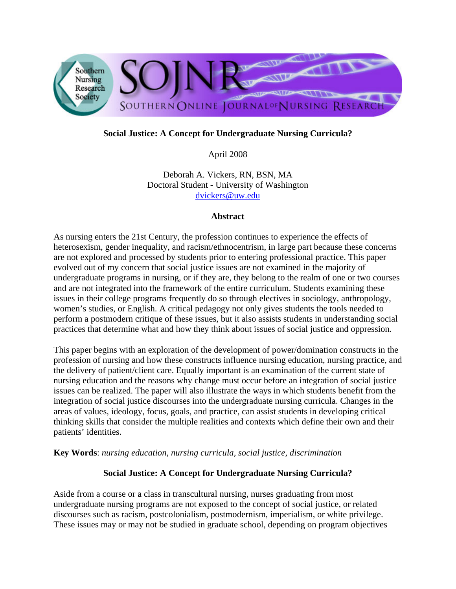

# **Social Justice: A Concept for Undergraduate Nursing Curricula?**

April 2008

Deborah A. Vickers, RN, BSN, MA Doctoral Student - University of Washington dvickers@uw.edu

#### **Abstract**

As nursing enters the 21st Century, the profession continues to experience the effects of heterosexism, gender inequality, and racism/ethnocentrism, in large part because these concerns are not explored and processed by students prior to entering professional practice. This paper evolved out of my concern that social justice issues are not examined in the majority of undergraduate programs in nursing, or if they are, they belong to the realm of one or two courses and are not integrated into the framework of the entire curriculum. Students examining these issues in their college programs frequently do so through electives in sociology, anthropology, women's studies, or English. A critical pedagogy not only gives students the tools needed to perform a postmodern critique of these issues, but it also assists students in understanding social practices that determine what and how they think about issues of social justice and oppression.

This paper begins with an exploration of the development of power/domination constructs in the profession of nursing and how these constructs influence nursing education, nursing practice, and the delivery of patient/client care. Equally important is an examination of the current state of nursing education and the reasons why change must occur before an integration of social justice issues can be realized. The paper will also illustrate the ways in which students benefit from the integration of social justice discourses into the undergraduate nursing curricula. Changes in the areas of values, ideology, focus, goals, and practice, can assist students in developing critical thinking skills that consider the multiple realities and contexts which define their own and their patients' identities.

**Key Words**: *nursing education, nursing curricula, social justice, discrimination*

## **Social Justice: A Concept for Undergraduate Nursing Curricula?**

Aside from a course or a class in transcultural nursing, nurses graduating from most undergraduate nursing programs are not exposed to the concept of social justice, or related discourses such as racism, postcolonialism, postmodernism, imperialism, or white privilege. These issues may or may not be studied in graduate school, depending on program objectives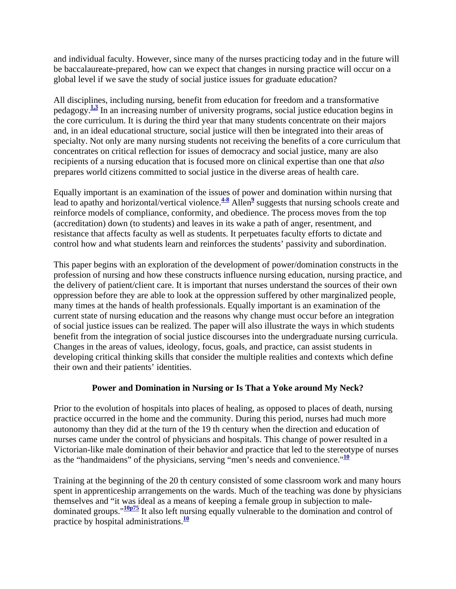and individual faculty. However, since many of the nurses practicing today and in the future will be baccalaureate-prepared, how can we expect that changes in nursing practice will occur on a global level if we save the study of social justice issues for graduate education?

All disciplines, including nursing, benefit from education for freedom and a transformative pedagogy.**1,3** In an increasing number of university programs, social justice education begins in the core curriculum. It is during the third year that many students concentrate on their majors and, in an ideal educational structure, social justice will then be integrated into their areas of specialty. Not only are many nursing students not receiving the benefits of a core curriculum that concentrates on critical reflection for issues of democracy and social justice, many are also recipients of a nursing education that is focused more on clinical expertise than one that *also* prepares world citizens committed to social justice in the diverse areas of health care.

Equally important is an examination of the issues of power and domination within nursing that lead to apathy and horizontal/vertical violence. $\frac{4-8}{2}$  Allen<sup>9</sup> suggests that nursing schools create and reinforce models of compliance, conformity, and obedience. The process moves from the top (accreditation) down (to students) and leaves in its wake a path of anger, resentment, and resistance that affects faculty as well as students. It perpetuates faculty efforts to dictate and control how and what students learn and reinforces the students' passivity and subordination.

This paper begins with an exploration of the development of power/domination constructs in the profession of nursing and how these constructs influence nursing education, nursing practice, and the delivery of patient/client care. It is important that nurses understand the sources of their own oppression before they are able to look at the oppression suffered by other marginalized people, many times at the hands of health professionals. Equally important is an examination of the current state of nursing education and the reasons why change must occur before an integration of social justice issues can be realized. The paper will also illustrate the ways in which students benefit from the integration of social justice discourses into the undergraduate nursing curricula. Changes in the areas of values, ideology, focus, goals, and practice, can assist students in developing critical thinking skills that consider the multiple realities and contexts which define their own and their patients' identities.

## **Power and Domination in Nursing or Is That a Yoke around My Neck?**

Prior to the evolution of hospitals into places of healing, as opposed to places of death, nursing practice occurred in the home and the community. During this period, nurses had much more autonomy than they did at the turn of the 19 th century when the direction and education of nurses came under the control of physicians and hospitals. This change of power resulted in a Victorian-like male domination of their behavior and practice that led to the stereotype of nurses as the "handmaidens" of the physicians, serving "men's needs and convenience."**<sup>10</sup>**

Training at the beginning of the 20 th century consisted of some classroom work and many hours spent in apprenticeship arrangements on the wards. Much of the teaching was done by physicians themselves and "it was ideal as a means of keeping a female group in subjection to maledominated groups."**10p75** It also left nursing equally vulnerable to the domination and control of practice by hospital administrations.**<sup>10</sup>**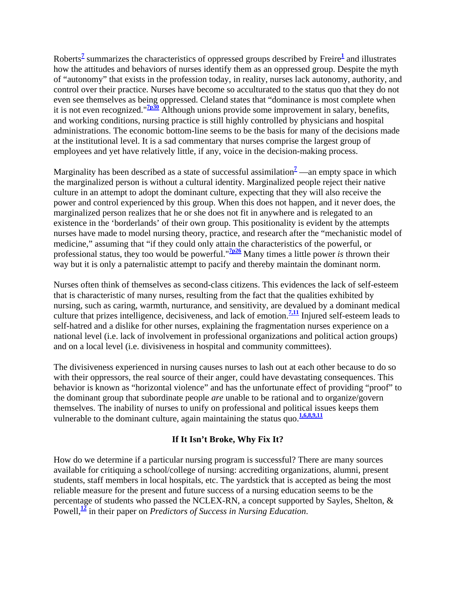Roberts**<sup>7</sup>** summarizes the characteristics of oppressed groups described by Freire**<sup>1</sup>** and illustrates how the attitudes and behaviors of nurses identify them as an oppressed group. Despite the myth of "autonomy" that exists in the profession today, in reality, nurses lack autonomy, authority, and control over their practice. Nurses have become so acculturated to the status quo that they do not even see themselves as being oppressed. Cleland states that "dominance is most complete when it is not even recognized."**7p30** Although unions provide some improvement in salary, benefits, and working conditions, nursing practice is still highly controlled by physicians and hospital administrations. The economic bottom-line seems to be the basis for many of the decisions made at the institutional level. It is a sad commentary that nurses comprise the largest group of employees and yet have relatively little, if any, voice in the decision-making process.

Marginality has been described as a state of successful assimilation<sup>2</sup> —an empty space in which the marginalized person is without a cultural identity. Marginalized people reject their native culture in an attempt to adopt the dominant culture, expecting that they will also receive the power and control experienced by this group. When this does not happen, and it never does, the marginalized person realizes that he or she does not fit in anywhere and is relegated to an existence in the 'borderlands' of their own group. This positionality is evident by the attempts nurses have made to model nursing theory, practice, and research after the "mechanistic model of medicine," assuming that "if they could only attain the characteristics of the powerful, or professional status, they too would be powerful."**7p26** Many times a little power *is* thrown their way but it is only a paternalistic attempt to pacify and thereby maintain the dominant norm.

Nurses often think of themselves as second-class citizens. This evidences the lack of self-esteem that is characteristic of many nurses, resulting from the fact that the qualities exhibited by nursing, such as caring, warmth, nurturance, and sensitivity, are devalued by a dominant medical culture that prizes intelligence, decisiveness, and lack of emotion.**7,11** Injured self-esteem leads to self-hatred and a dislike for other nurses, explaining the fragmentation nurses experience on a national level (i.e. lack of involvement in professional organizations and political action groups) and on a local level (i.e. divisiveness in hospital and community committees).

The divisiveness experienced in nursing causes nurses to lash out at each other because to do so with their oppressors, the real source of their anger, could have devastating consequences. This behavior is known as "horizontal violence" and has the unfortunate effect of providing "proof" to the dominant group that subordinate people *are* unable to be rational and to organize/govern themselves. The inability of nurses to unify on professional and political issues keeps them vulnerable to the dominant culture, again maintaining the status quo.<sup>1,6,8,9,11</sup>

## **If It Isn't Broke, Why Fix It?**

How do we determine if a particular nursing program is successful? There are many sources available for critiquing a school/college of nursing: accrediting organizations, alumni, present students, staff members in local hospitals, etc. The yardstick that is accepted as being the most reliable measure for the present and future success of a nursing education seems to be the percentage of students who passed the NCLEX-RN, a concept supported by Sayles, Shelton, & Powell,**<sup>12</sup>** in their paper on *Predictors of Success in Nursing Education*.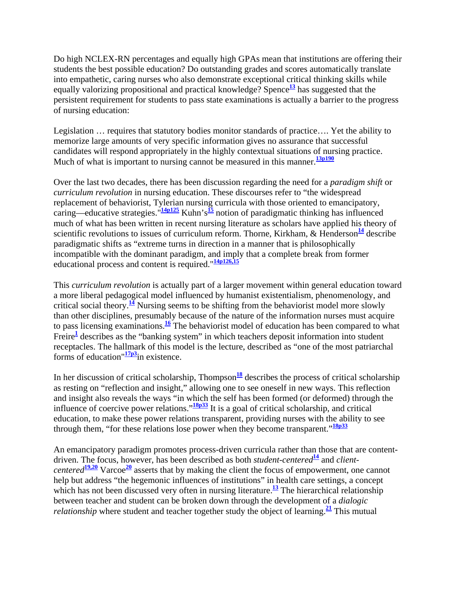Do high NCLEX-RN percentages and equally high GPAs mean that institutions are offering their students the best possible education? Do outstanding grades and scores automatically translate into empathetic, caring nurses who also demonstrate exceptional critical thinking skills while equally valorizing propositional and practical knowledge? Spence**<sup>13</sup>** has suggested that the persistent requirement for students to pass state examinations is actually a barrier to the progress of nursing education:

Legislation … requires that statutory bodies monitor standards of practice…. Yet the ability to memorize large amounts of very specific information gives no assurance that successful candidates will respond appropriately in the highly contextual situations of nursing practice. Much of what is important to nursing cannot be measured in this manner.<sup>13p190</sup>

Over the last two decades, there has been discussion regarding the need for a *paradigm shift* or *curriculum revolution* in nursing education. These discourses refer to "the widespread replacement of behaviorist, Tylerian nursing curricula with those oriented to emancipatory, caring—educative strategies."**14p125** Kuhn's**<sup>15</sup>** notion of paradigmatic thinking has influenced much of what has been written in recent nursing literature as scholars have applied his theory of scientific revolutions to issues of curriculum reform. Thorne, Kirkham, & Henderson<sup>14</sup> describe paradigmatic shifts as "extreme turns in direction in a manner that is philosophically incompatible with the dominant paradigm, and imply that a complete break from former educational process and content is required."**14p126,15**

This *curriculum revolution* is actually part of a larger movement within general education toward a more liberal pedagogical model influenced by humanist existentialism, phenomenology, and critical social theory.<sup>14</sup> Nursing seems to be shifting from the behaviorist model more slowly than other disciplines, presumably because of the nature of the information nurses must acquire to pass licensing examinations.**<sup>16</sup>** The behaviorist model of education has been compared to what Freire<sup>1</sup> describes as the "banking system" in which teachers deposit information into student receptacles. The hallmark of this model is the lecture, described as "one of the most patriarchal forms of education"**17p3**in existence.

In her discussion of critical scholarship, Thompson<sup>18</sup> describes the process of critical scholarship as resting on "reflection and insight," allowing one to see oneself in new ways. This reflection and insight also reveals the ways "in which the self has been formed (or deformed) through the influence of coercive power relations."**18p33** It is a goal of critical scholarship, and critical education, to make these power relations transparent, providing nurses with the ability to see through them, "for these relations lose power when they become transparent."**18p33**

An emancipatory paradigm promotes process-driven curricula rather than those that are contentdriven. The focus, however, has been described as both *student-centered***<sup>14</sup>** and *clientcentered***19,20** Varcoe**<sup>20</sup>** asserts that by making the client the focus of empowerment, one cannot help but address "the hegemonic influences of institutions" in health care settings, a concept which has not been discussed very often in nursing literature.<sup>13</sup> The hierarchical relationship between teacher and student can be broken down through the development of a *dialogic relationship* where student and teacher together study the object of learning.<sup>21</sup> This mutual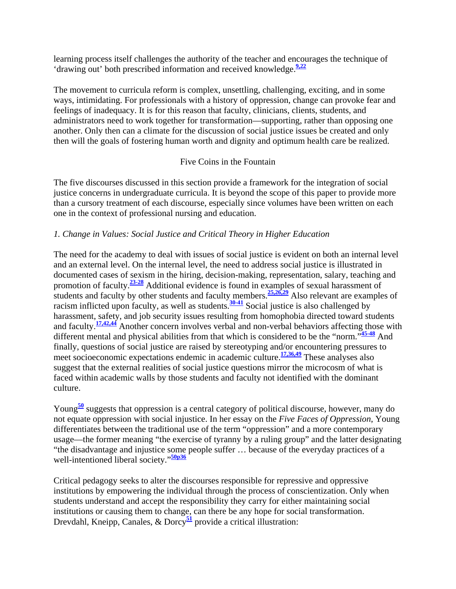learning process itself challenges the authority of the teacher and encourages the technique of 'drawing out' both prescribed information and received knowledge.**9,22**

The movement to curricula reform is complex, unsettling, challenging, exciting, and in some ways, intimidating. For professionals with a history of oppression, change can provoke fear and feelings of inadequacy. It is for this reason that faculty, clinicians, clients, students, and administrators need to work together for transformation—supporting, rather than opposing one another. Only then can a climate for the discussion of social justice issues be created and only then will the goals of fostering human worth and dignity and optimum health care be realized.

### Five Coins in the Fountain

The five discourses discussed in this section provide a framework for the integration of social justice concerns in undergraduate curricula. It is beyond the scope of this paper to provide more than a cursory treatment of each discourse, especially since volumes have been written on each one in the context of professional nursing and education.

### *1. Change in Values: Social Justice and Critical Theory in Higher Education*

The need for the academy to deal with issues of social justice is evident on both an internal level and an external level. On the internal level, the need to address social justice is illustrated in documented cases of sexism in the hiring, decision-making, representation, salary, teaching and promotion of faculty.**23-28** Additional evidence is found in examples of sexual harassment of students and faculty by other students and faculty members.**25,26,29** Also relevant are examples of racism inflicted upon faculty, as well as students.**30-41** Social justice is also challenged by harassment, safety, and job security issues resulting from homophobia directed toward students and faculty.**17,42,44** Another concern involves verbal and non-verbal behaviors affecting those with different mental and physical abilities from that which is considered to be the "norm."**45-48** And finally, questions of social justice are raised by stereotyping and/or encountering pressures to meet socioeconomic expectations endemic in academic culture.**17,36,49** These analyses also suggest that the external realities of social justice questions mirror the microcosm of what is faced within academic walls by those students and faculty not identified with the dominant culture.

Young<sup>50</sup> suggests that oppression is a central category of political discourse, however, many do not equate oppression with social injustice. In her essay on the *Five Faces of Oppression*, Young differentiates between the traditional use of the term "oppression" and a more contemporary usage—the former meaning "the exercise of tyranny by a ruling group" and the latter designating "the disadvantage and injustice some people suffer … because of the everyday practices of a well-intentioned liberal society."**50p36**

Critical pedagogy seeks to alter the discourses responsible for repressive and oppressive institutions by empowering the individual through the process of conscientization. Only when students understand and accept the responsibility they carry for either maintaining social institutions or causing them to change, can there be any hope for social transformation. Drevdahl, Kneipp, Canales, & Dorcy**<sup>51</sup>** provide a critical illustration: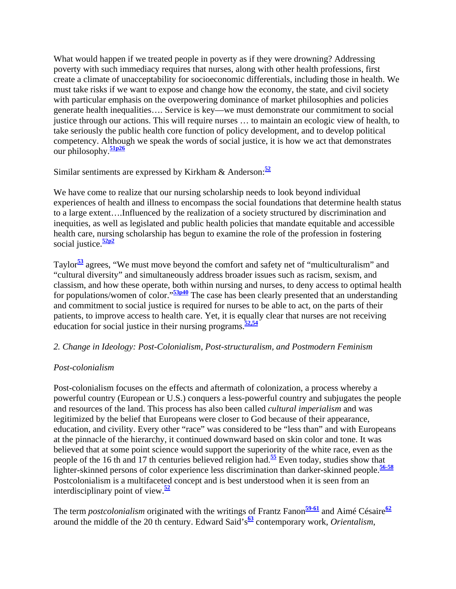What would happen if we treated people in poverty as if they were drowning? Addressing poverty with such immediacy requires that nurses, along with other health professions, first create a climate of unacceptability for socioeconomic differentials, including those in health. We must take risks if we want to expose and change how the economy, the state, and civil society with particular emphasis on the overpowering dominance of market philosophies and policies generate health inequalities…. Service is key—we must demonstrate our commitment to social justice through our actions. This will require nurses … to maintain an ecologic view of health, to take seriously the public health core function of policy development, and to develop political competency. Although we speak the words of social justice, it is how we act that demonstrates our philosophy.**51p26**

Similar sentiments are expressed by Kirkham & Anderson:**<sup>52</sup>**

We have come to realize that our nursing scholarship needs to look beyond individual experiences of health and illness to encompass the social foundations that determine health status to a large extent….Influenced by the realization of a society structured by discrimination and inequities, as well as legislated and public health policies that mandate equitable and accessible health care, nursing scholarship has begun to examine the role of the profession in fostering social justice.**52p2**

Taylor**<sup>53</sup>** agrees, "We must move beyond the comfort and safety net of "multiculturalism" and "cultural diversity" and simultaneously address broader issues such as racism, sexism, and classism, and how these operate, both within nursing and nurses, to deny access to optimal health for populations/women of color."**53p40** The case has been clearly presented that an understanding and commitment to social justice is required for nurses to be able to act, on the parts of their patients, to improve access to health care. Yet, it is equally clear that nurses are not receiving education for social justice in their nursing programs.**52,54**

## *2. Change in Ideology: Post-Colonialism, Post-structuralism, and Postmodern Feminism*

## *Post-colonialism*

Post-colonialism focuses on the effects and aftermath of colonization, a process whereby a powerful country (European or U.S.) conquers a less-powerful country and subjugates the people and resources of the land. This process has also been called *cultural imperialism* and was legitimized by the belief that Europeans were closer to God because of their appearance, education, and civility. Every other "race" was considered to be "less than" and with Europeans at the pinnacle of the hierarchy, it continued downward based on skin color and tone. It was believed that at some point science would support the superiority of the white race, even as the people of the 16 th and 17 th centuries believed religion had.**<sup>55</sup>** Even today, studies show that lighter-skinned persons of color experience less discrimination than darker-skinned people.**56-58** Postcolonialism is a multifaceted concept and is best understood when it is seen from an interdisciplinary point of view.**<sup>52</sup>**

The term *postcolonialism* originated with the writings of Frantz Fanon<sup>59-61</sup> and Aimé Césaire<sup>62</sup> around the middle of the 20 th century. Edward Said's<sup>63</sup> contemporary work, *Orientalism*,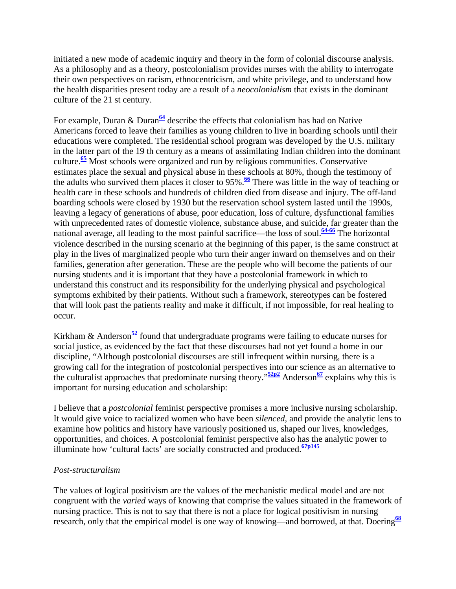initiated a new mode of academic inquiry and theory in the form of colonial discourse analysis. As a philosophy and as a theory, postcolonialism provides nurses with the ability to interrogate their own perspectives on racism, ethnocentricism, and white privilege, and to understand how the health disparities present today are a result of a *neocolonialism* that exists in the dominant culture of the 21 st century.

For example, Duran & Duran<sup>64</sup> describe the effects that colonialism has had on Native Americans forced to leave their families as young children to live in boarding schools until their educations were completed. The residential school program was developed by the U.S. military in the latter part of the 19 th century as a means of assimilating Indian children into the dominant culture.**<sup>65</sup>** Most schools were organized and run by religious communities. Conservative estimates place the sexual and physical abuse in these schools at 80%, though the testimony of the adults who survived them places it closer to 95%.<sup>66</sup> There was little in the way of teaching or health care in these schools and hundreds of children died from disease and injury. The off-land boarding schools were closed by 1930 but the reservation school system lasted until the 1990s, leaving a legacy of generations of abuse, poor education, loss of culture, dysfunctional families with unprecedented rates of domestic violence, substance abuse, and suicide, far greater than the national average, all leading to the most painful sacrifice—the loss of soul.**64-66** The horizontal violence described in the nursing scenario at the beginning of this paper, is the same construct at play in the lives of marginalized people who turn their anger inward on themselves and on their families, generation after generation. These are the people who will become the patients of our nursing students and it is important that they have a postcolonial framework in which to understand this construct and its responsibility for the underlying physical and psychological symptoms exhibited by their patients. Without such a framework, stereotypes can be fostered that will look past the patients reality and make it difficult, if not impossible, for real healing to occur.

Kirkham & Anderson**<sup>52</sup>** found that undergraduate programs were failing to educate nurses for social justice, as evidenced by the fact that these discourses had not yet found a home in our discipline, "Although postcolonial discourses are still infrequent within nursing, there is a growing call for the integration of postcolonial perspectives into our science as an alternative to the culturalist approaches that predominate nursing theory."**52p2** Anderson**<sup>67</sup>** explains why this is important for nursing education and scholarship:

I believe that a *postcolonial* feminist perspective promises a more inclusive nursing scholarship. It would give voice to racialized women who have been *silenced*, and provide the analytic lens to examine how politics and history have variously positioned us, shaped our lives, knowledges, opportunities, and choices. A postcolonial feminist perspective also has the analytic power to illuminate how 'cultural facts' are socially constructed and produced.**67p145**

#### *Post-structuralism*

The values of logical positivism are the values of the mechanistic medical model and are not congruent with the *varied* ways of knowing that comprise the values situated in the framework of nursing practice. This is not to say that there is not a place for logical positivism in nursing research, only that the empirical model is one way of knowing—and borrowed, at that. Doering<sup>68</sup>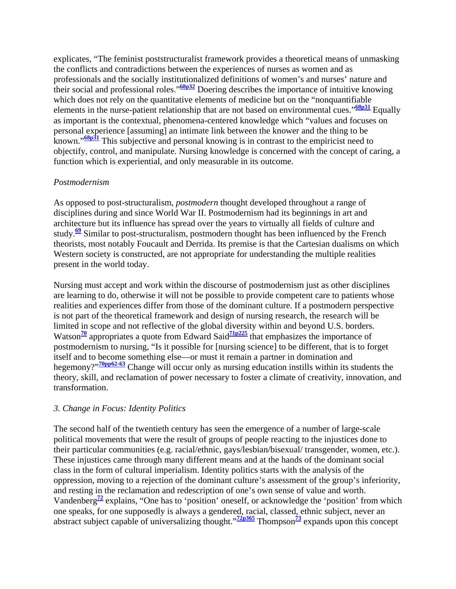explicates, "The feminist poststructuralist framework provides a theoretical means of unmasking the conflicts and contradictions between the experiences of nurses as women and as professionals and the socially institutionalized definitions of women's and nurses' nature and their social and professional roles."**68p32** Doering describes the importance of intuitive knowing which does not rely on the quantitative elements of medicine but on the "nonquantifiable elements in the nurse-patient relationship that are not based on environmental cues."<sup>68p31</sup> Equally as important is the contextual, phenomena-centered knowledge which "values and focuses on personal experience [assuming] an intimate link between the knower and the thing to be known."**68p31** This subjective and personal knowing is in contrast to the empiricist need to objectify, control, and manipulate. Nursing knowledge is concerned with the concept of caring, a function which is experiential, and only measurable in its outcome.

#### *Postmodernism*

As opposed to post-structuralism, *postmodern* thought developed throughout a range of disciplines during and since World War II. Postmodernism had its beginnings in art and architecture but its influence has spread over the years to virtually all fields of culture and study.**<sup>69</sup>** Similar to post-structuralism, postmodern thought has been influenced by the French theorists, most notably Foucault and Derrida. Its premise is that the Cartesian dualisms on which Western society is constructed, are not appropriate for understanding the multiple realities present in the world today.

Nursing must accept and work within the discourse of postmodernism just as other disciplines are learning to do, otherwise it will not be possible to provide competent care to patients whose realities and experiences differ from those of the dominant culture. If a postmodern perspective is not part of the theoretical framework and design of nursing research, the research will be limited in scope and not reflective of the global diversity within and beyond U.S. borders. Watson<sup>70</sup> appropriates a quote from Edward Said<sup>71p225</sup> that emphasizes the importance of postmodernism to nursing, "Is it possible for [nursing science] to be different, that is to forget itself and to become something else—or must it remain a partner in domination and hegemony?"**70pp62-63** Change will occur only as nursing education instills within its students the theory, skill, and reclamation of power necessary to foster a climate of creativity, innovation, and transformation.

#### *3. Change in Focus: Identity Politics*

The second half of the twentieth century has seen the emergence of a number of large-scale political movements that were the result of groups of people reacting to the injustices done to their particular communities (e.g. racial/ethnic, gays/lesbian/bisexual/ transgender, women, etc.). These injustices came through many different means and at the hands of the dominant social class in the form of cultural imperialism. Identity politics starts with the analysis of the oppression, moving to a rejection of the dominant culture's assessment of the group's inferiority, and resting in the reclamation and redescription of one's own sense of value and worth. Vandenberg<sup> $\frac{72}{2}$ </sup> explains, "One has to 'position' oneself, or acknowledge the 'position' from which one speaks, for one supposedly is always a gendered, racial, classed, ethnic subject, never an abstract subject capable of universalizing thought.<sup>"72p365</sup> Thompson<sup>73</sup> expands upon this concept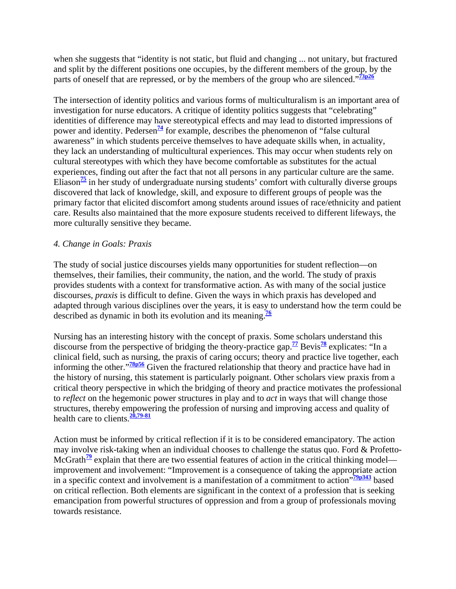when she suggests that "identity is not static, but fluid and changing ... not unitary, but fractured and split by the different positions one occupies, by the different members of the group, by the parts of oneself that are repressed, or by the members of the group who are silenced."<sup>73p26</sup>

The intersection of identity politics and various forms of multiculturalism is an important area of investigation for nurse educators. A critique of identity politics suggests that "celebrating" identities of difference may have stereotypical effects and may lead to distorted impressions of power and identity. Pedersen<sup> $\frac{74}{4}$ </sup> for example, describes the phenomenon of "false cultural" awareness" in which students perceive themselves to have adequate skills when, in actuality, they lack an understanding of multicultural experiences. This may occur when students rely on cultural stereotypes with which they have become comfortable as substitutes for the actual experiences, finding out after the fact that not all persons in any particular culture are the same. Eliason**<sup>75</sup>** in her study of undergraduate nursing students' comfort with culturally diverse groups discovered that lack of knowledge, skill, and exposure to different groups of people was the primary factor that elicited discomfort among students around issues of race/ethnicity and patient care. Results also maintained that the more exposure students received to different lifeways, the more culturally sensitive they became.

### *4. Change in Goals: Praxis*

The study of social justice discourses yields many opportunities for student reflection—on themselves, their families, their community, the nation, and the world. The study of praxis provides students with a context for transformative action. As with many of the social justice discourses, *praxis* is difficult to define. Given the ways in which praxis has developed and adapted through various disciplines over the years, it is easy to understand how the term could be described as dynamic in both its evolution and its meaning.**<sup>76</sup>**

Nursing has an interesting history with the concept of praxis. Some scholars understand this discourse from the perspective of bridging the theory-practice gap.<sup> $77$ </sup> Bevis<sup>78</sup> explicates: "In a clinical field, such as nursing, the praxis of caring occurs; theory and practice live together, each informing the other."<sup>78p56</sup> Given the fractured relationship that theory and practice have had in the history of nursing, this statement is particularly poignant. Other scholars view praxis from a critical theory perspective in which the bridging of theory and practice motivates the professional to *reflect* on the hegemonic power structures in play and to *act* in ways that will change those structures, thereby empowering the profession of nursing and improving access and quality of health care to clients.**20,79-81**

Action must be informed by critical reflection if it is to be considered emancipatory. The action may involve risk-taking when an individual chooses to challenge the status quo. Ford & Profetto-McGrath<sup>79</sup> explain that there are two essential features of action in the critical thinking model improvement and involvement: "Improvement is a consequence of taking the appropriate action in a specific context and involvement is a manifestation of a commitment to action"**79p343** based on critical reflection. Both elements are significant in the context of a profession that is seeking emancipation from powerful structures of oppression and from a group of professionals moving towards resistance.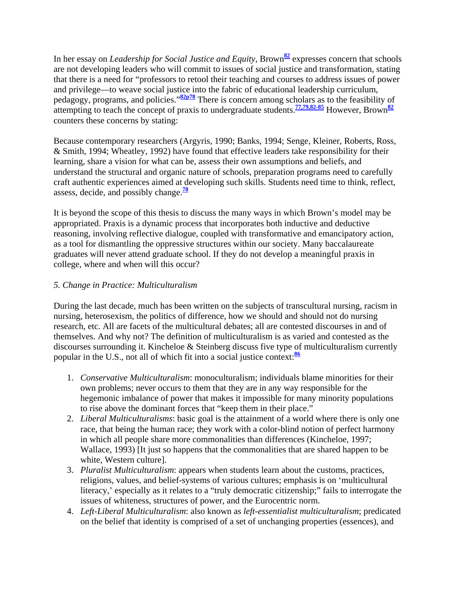In her essay on *Leadership for Social Justice and Equity*, Brown**<sup>82</sup>** expresses concern that schools are not developing leaders who will commit to issues of social justice and transformation, stating that there is a need for "professors to retool their teaching and courses to address issues of power and privilege—to weave social justice into the fabric of educational leadership curriculum, pedagogy, programs, and policies."**82p78** There is concern among scholars as to the feasibility of attempting to teach the concept of praxis to undergraduate students.**77,79,82-85** However, Brown**<sup>82</sup>** counters these concerns by stating:

Because contemporary researchers (Argyris, 1990; Banks, 1994; Senge, Kleiner, Roberts, Ross, & Smith, 1994; Wheatley, 1992) have found that effective leaders take responsibility for their learning, share a vision for what can be, assess their own assumptions and beliefs, and understand the structural and organic nature of schools, preparation programs need to carefully craft authentic experiences aimed at developing such skills. Students need time to think, reflect, assess, decide, and possibly change.**<sup>78</sup>**

It is beyond the scope of this thesis to discuss the many ways in which Brown's model may be appropriated. Praxis is a dynamic process that incorporates both inductive and deductive reasoning, involving reflective dialogue, coupled with transformative and emancipatory action, as a tool for dismantling the oppressive structures within our society. Many baccalaureate graduates will never attend graduate school. If they do not develop a meaningful praxis in college, where and when will this occur?

## *5. Change in Practice: Multiculturalism*

During the last decade, much has been written on the subjects of transcultural nursing, racism in nursing, heterosexism, the politics of difference, how we should and should not do nursing research, etc. All are facets of the multicultural debates; all are contested discourses in and of themselves. And why not? The definition of multiculturalism is as varied and contested as the discourses surrounding it. Kincheloe & Steinberg discuss five type of multiculturalism currently popular in the U.S., not all of which fit into a social justice context:**<sup>86</sup>**

- 1. *Conservative Multiculturalism*: monoculturalism; individuals blame minorities for their own problems; never occurs to them that they are in any way responsible for the hegemonic imbalance of power that makes it impossible for many minority populations to rise above the dominant forces that "keep them in their place."
- 2. *Liberal Multiculturalisms*: basic goal is the attainment of a world where there is only one race, that being the human race; they work with a color-blind notion of perfect harmony in which all people share more commonalities than differences (Kincheloe, 1997; Wallace, 1993) [It just so happens that the commonalities that are shared happen to be white, Western culture].
- 3. *Pluralist Multiculturalism*: appears when students learn about the customs, practices, religions, values, and belief-systems of various cultures; emphasis is on 'multicultural literacy,' especially as it relates to a "truly democratic citizenship;" fails to interrogate the issues of whiteness, structures of power, and the Eurocentric norm.
- 4. *Left-Liberal Multiculturalism*: also known as *left-essentialist multiculturalism*; predicated on the belief that identity is comprised of a set of unchanging properties (essences), and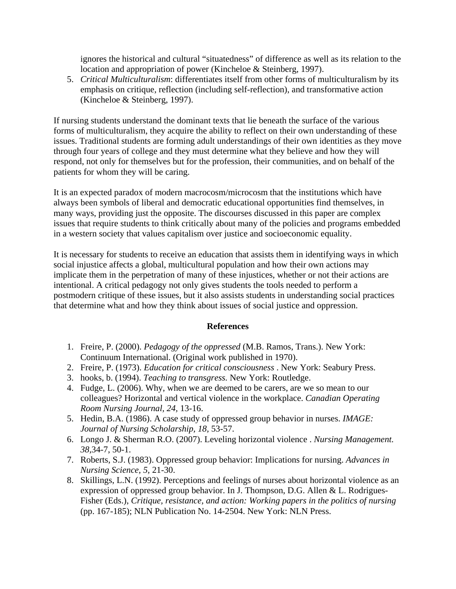ignores the historical and cultural "situatedness" of difference as well as its relation to the location and appropriation of power (Kincheloe & Steinberg, 1997).

5. *Critical Multiculturalism*: differentiates itself from other forms of multiculturalism by its emphasis on critique, reflection (including self-reflection), and transformative action (Kincheloe & Steinberg, 1997).

If nursing students understand the dominant texts that lie beneath the surface of the various forms of multiculturalism, they acquire the ability to reflect on their own understanding of these issues. Traditional students are forming adult understandings of their own identities as they move through four years of college and they must determine what they believe and how they will respond, not only for themselves but for the profession, their communities, and on behalf of the patients for whom they will be caring.

It is an expected paradox of modern macrocosm/microcosm that the institutions which have always been symbols of liberal and democratic educational opportunities find themselves, in many ways, providing just the opposite. The discourses discussed in this paper are complex issues that require students to think critically about many of the policies and programs embedded in a western society that values capitalism over justice and socioeconomic equality.

It is necessary for students to receive an education that assists them in identifying ways in which social injustice affects a global, multicultural population and how their own actions may implicate them in the perpetration of many of these injustices, whether or not their actions are intentional. A critical pedagogy not only gives students the tools needed to perform a postmodern critique of these issues, but it also assists students in understanding social practices that determine what and how they think about issues of social justice and oppression.

#### **References**

- 1. Freire, P. (2000). *Pedagogy of the oppressed* (M.B. Ramos, Trans.). New York: Continuum International. (Original work published in 1970).
- 2. Freire, P. (1973). *Education for critical consciousness* . New York: Seabury Press.
- 3. hooks, b. (1994). *Teaching to transgress.* New York: Routledge.
- 4. Fudge, L. (2006). Why, when we are deemed to be carers, are we so mean to our colleagues? Horizontal and vertical violence in the workplace. *Canadian Operating Room Nursing Journal, 24,* 13-16.
- 5. Hedin, B.A. (1986). A case study of oppressed group behavior in nurses. *IMAGE: Journal of Nursing Scholarship, 18,* 53-57.
- 6. Longo J. & Sherman R.O. (2007). Leveling horizontal violence . *Nursing Management. 38,*34-7, 50-1.
- 7. Roberts, S.J. (1983). Oppressed group behavior: Implications for nursing. *Advances in Nursing Science, 5,* 21-30.
- 8. Skillings, L.N. (1992). Perceptions and feelings of nurses about horizontal violence as an expression of oppressed group behavior. In J. Thompson, D.G. Allen & L. Rodrigues-Fisher (Eds.), *Critique, resistance, and action: Working papers in the politics of nursing*  (pp. 167-185); NLN Publication No. 14-2504. New York: NLN Press.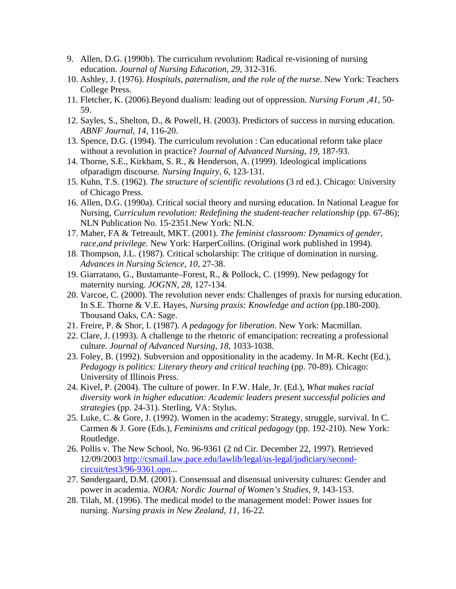- 9. Allen, D.G. (1990b). The curriculum revolution: Radical re-visioning of nursing education. *Journal of Nursing Education, 29,* 312-316.
- 10. Ashley, J. (1976). *Hospitals, paternalism, and the role of the nurse*. New York: Teachers College Press.
- 11. Fletcher, K. (2006).Beyond dualism: leading out of oppression. *Nursing Forum ,41,* 50- 59.
- 12. Sayles, S., Shelton, D., & Powell, H. (2003). Predictors of success in nursing education. *ABNF Journal, 14,* 116-20.
- 13. Spence, D.G. (1994). The curriculum revolution : Can educational reform take place without a revolution in practice? *Journal of Advanced Nursing, 19,* 187-93.
- 14. Thorne, S.E., Kirkham, S. R., & Henderson, A. (1999). Ideological implications ofparadigm discourse*. Nursing Inquiry, 6,* 123-131.
- 15. Kuhn, T.S. (1962). *The structure of scientific revolutions* (3 rd ed.). Chicago: University of Chicago Press.
- 16. Allen, D.G. (1990a). Critical social theory and nursing education. In National League for Nursing, *Curriculum revolution: Redefining the student-teacher relationship* (pp. 67-86); NLN Publication No. 15-2351.New York: NLN.
- 17. Maher, FA & Tetreault, MKT. (2001). *The feminist classroom: Dynamics of gender, race,and privilege.* New York: HarperCollins. (Original work published in 1994).
- 18. Thompson, J.L. (1987). Critical scholarship: The critique of domination in nursing. *Advances in Nursing Science, 10,* 27-38.
- 19. Giarratano, G., Bustamante–Forest, R., & Pollock, C. (1999). New pedagogy for maternity nursing. *JOGNN, 28,* 127-134.
- 20. Varcoe, C. (2000). The revolution never ends: Challenges of praxis for nursing education. In S.E. Thorne & V.E. Hayes, *Nursing praxis: Knowledge and action* (pp.180-200). Thousand Oaks, CA: Sage.
- 21. Freire, P. & Shor, I. (1987). *A pedagogy for liberation*. New York: Macmillan.
- 22. Clare, J. (1993). A challenge to the rhetoric of emancipation: recreating a professional culture. *Journal of Advanced Nursing, 18,* 1033-1038.
- 23. Foley, B. (1992). Subversion and oppositionality in the academy. In M-R. Kecht (Ed.), *Pedagogy is politics: Literary theory and critical teaching* (pp. 70-89). Chicago: University of Illinois Press.
- 24. Kivel, P. (2004). The culture of power. In F.W. Hale, Jr. (Ed.), *What makes racial diversity work in higher education: Academic leaders present successful policies and strategies* (pp. 24-31). Sterling, VA: Stylus.
- 25. Luke, C. & Gore, J. (1992). Women in the academy: Strategy, struggle, survival. In C. Carmen & J. Gore (Eds.), *Feminisms and critical pedagogy* (pp. 192-210)*.* New York: Routledge.
- 26. Pollis v. The New School, No. 96-9361 (2 nd Cir. December 22, 1997). Retrieved 12/09/2003 http://csmail.law.pace.edu/lawlib/legal/us-legal/judiciary/secondcircuit/test3/96-9361.opn...
- 27. Søndergaard, D.M. (2001). Consensual and disensual university cultures: Gender and power in academia. *NORA: Nordic Journal of Women's Studies, 9,* 143-153.
- 28. Tilah, M. (1996). The medical model to the management model: Power issues for nursing. *Nursing praxis in New Zealand, 11,* 16-22.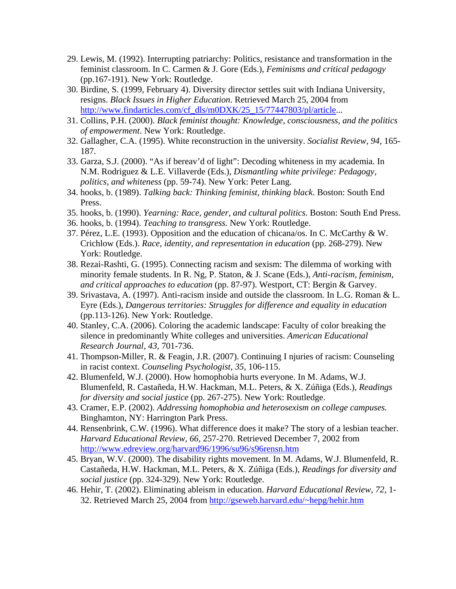- 29. Lewis, M. (1992). Interrupting patriarchy: Politics, resistance and transformation in the feminist classroom. In C. Carmen & J. Gore (Eds.), *Feminisms and critical pedagogy* (pp.167-191)*.* New York: Routledge.
- 30. Birdine, S. (1999, February 4). Diversity director settles suit with Indiana University, resigns. *Black Issues in Higher Education*. Retrieved March 25, 2004 from http://www.findarticles.com/cf\_dls/m0DXK/25\_15/77447803/pl/article...
- 31. Collins, P.H. (2000). *Black feminist thought: Knowledge, consciousness, and the politics of empowerment*. New York: Routledge.
- 32. Gallagher, C.A. (1995). White reconstruction in the university. *Socialist Review, 94,* 165- 187.
- 33. Garza, S.J. (2000). "As if bereav'd of light": Decoding whiteness in my academia. In N.M. Rodriguez & L.E. Villaverde (Eds.), *Dismantling white privilege: Pedagogy, politics, and whiteness* (pp. 59-74). New York: Peter Lang.
- 34. hooks, b. (1989). *Talking back: Thinking feminist, thinking black*. Boston: South End Press.
- 35. hooks, b. (1990). *Yearning: Race, gender, and cultural politics*. Boston: South End Press.
- 36. hooks, b. (1994). *Teaching to transgress.* New York: Routledge.
- 37. Pérez, L.E. (1993). Opposition and the education of chicana/os. In C. McCarthy & W. Crichlow (Eds.). *Race, identity, and representation in education* (pp. 268-279). New York: Routledge.
- 38. Rezai-Rashti, G. (1995). Connecting racism and sexism: The dilemma of working with minority female students. In R. Ng, P. Staton, & J. Scane (Eds.), *Anti-racism, feminism, and critical approaches to education* (pp. 87-97). Westport, CT: Bergin & Garvey.
- 39. Srivastava, A. (1997). Anti-racism inside and outside the classroom. In L.G. Roman & L. Eyre (Eds.), *Dangerous territories: Struggles for difference and equality in education* (pp.113-126). New York: Routledge.
- 40. Stanley, C.A. (2006). Coloring the academic landscape: Faculty of color breaking the silence in predominantly White colleges and universities. *American Educational Research Journal, 43,* 701-736.
- 41. Thompson-Miller, R. & Feagin, J.R. (2007). Continuing I njuries of racism: Counseling in racist context. *Counseling Psychologist, 35,* 106-115.
- 42. Blumenfeld, W.J. (2000). How homophobia hurts everyone. In M. Adams, W.J. Blumenfeld, R. Castañeda, H.W. Hackman, M.L. Peters, & X. Zúñiga (Eds.), *Readings for diversity and social justice* (pp. 267-275). New York: Routledge.
- 43. Cramer, E.P. (2002). *Addressing homophobia and heterosexism on college campuses.* Binghamton, NY: Harrington Park Press.
- 44. Rensenbrink, C.W. (1996). What difference does it make? The story of a lesbian teacher. *Harvard Educational Review, 66,* 257-270. Retrieved December 7, 2002 from http://www.edreview.org/harvard96/1996/su96/s96rensn.htm
- 45. Bryan, W.V. (2000). The disability rights movement. In M. Adams, W.J. Blumenfeld, R. Castañeda, H.W. Hackman, M.L. Peters, & X. Zúñiga (Eds.), *Readings for diversity and social justice* (pp. 324-329). New York: Routledge.
- 46. Hehir, T. (2002). Eliminating ableism in education. *Harvard Educational Review, 72,* 1- 32. Retrieved March 25, 2004 from http://gseweb.harvard.edu/~hepg/hehir.htm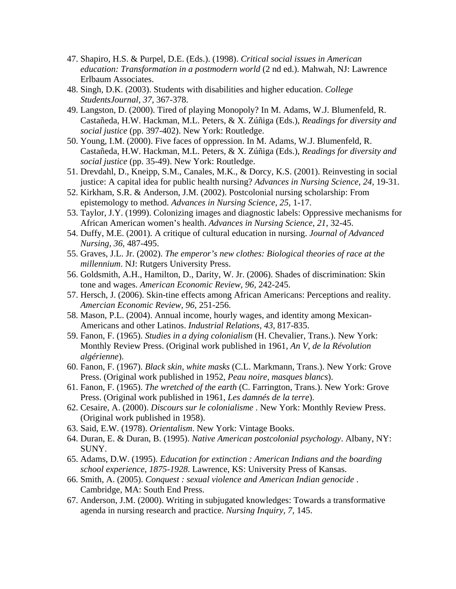- 47. Shapiro, H.S. & Purpel, D.E. (Eds.). (1998). *Critical social issues in American education: Transformation in a postmodern world* (2 nd ed.). Mahwah, NJ: Lawrence Erlbaum Associates.
- 48. Singh, D.K. (2003). Students with disabilities and higher education. *College StudentsJournal, 37,* 367-378.
- 49. Langston, D. (2000). Tired of playing Monopoly? In M. Adams, W.J. Blumenfeld, R. Castañeda, H.W. Hackman, M.L. Peters, & X. Zúñiga (Eds.), *Readings for diversity and social justice* (pp. 397-402). New York: Routledge.
- 50. Young, I.M. (2000). Five faces of oppression. In M. Adams, W.J. Blumenfeld, R. Castañeda, H.W. Hackman, M.L. Peters, & X. Zúñiga (Eds.), *Readings for diversity and social justice* (pp. 35-49). New York: Routledge.
- 51. Drevdahl, D., Kneipp, S.M., Canales, M.K., & Dorcy, K.S. (2001). Reinvesting in social justice: A capital idea for public health nursing? *Advances in Nursing Science, 24,* 19-31.
- 52. Kirkham, S.R. & Anderson, J.M. (2002). Postcolonial nursing scholarship: From epistemology to method. *Advances in Nursing Science, 25,* 1-17.
- 53. Taylor, J.Y. (1999). Colonizing images and diagnostic labels: Oppressive mechanisms for African American women's health. *Advances in Nursing Science, 21,* 32-45.
- 54. Duffy, M.E. (2001). A critique of cultural education in nursing. *Journal of Advanced Nursing, 36,* 487-495.
- 55. Graves, J.L. Jr. (2002). *The emperor's new clothes: Biological theories of race at the millennium*. NJ: Rutgers University Press.
- 56. Goldsmith, A.H., Hamilton, D., Darity, W. Jr. (2006). Shades of discrimination: Skin tone and wages. *American Economic Review, 96,* 242-245.
- 57. Hersch, J. (2006). Skin-tine effects among African Americans: Perceptions and reality. *Amercian Economic Review, 96,* 251-256.
- 58. Mason, P.L. (2004). Annual income, hourly wages, and identity among Mexican-Americans and other Latinos. *Industrial Relations, 43,* 817-835.
- 59. Fanon, F. (1965). *Studies in a dying colonialism* (H. Chevalier, Trans.). New York: Monthly Review Press. (Original work published in 1961, *An V, de la Révolution algérienne*).
- 60. Fanon, F. (1967). *Black skin, white masks* (C.L. Markmann, Trans.). New York: Grove Press. (Original work published in 1952, *Peau noire, masques blancs*).
- 61. Fanon, F. (1965). *The wretched of the earth* (C. Farrington, Trans.). New York: Grove Press. (Original work published in 1961, *Les damnés de la terre*).
- 62. Cesaire, A. (2000). *Discours sur le colonialisme* . New York: Monthly Review Press. (Original work published in 1958).
- 63. Said, E.W. (1978). *Orientalism*. New York: Vintage Books.
- 64. Duran, E. & Duran, B. (1995). *Native American postcolonial psychology*. Albany, NY: SUNY.
- 65. Adams, D.W. (1995). *Education for extinction : American Indians and the boarding school experience, 1875-1928*. Lawrence, KS: University Press of Kansas.
- 66. Smith, A. (2005). *Conquest : sexual violence and American Indian genocide* . Cambridge, MA: South End Press.
- 67. Anderson, J.M. (2000). Writing in subjugated knowledges: Towards a transformative agenda in nursing research and practice. *Nursing Inquiry, 7,* 145.